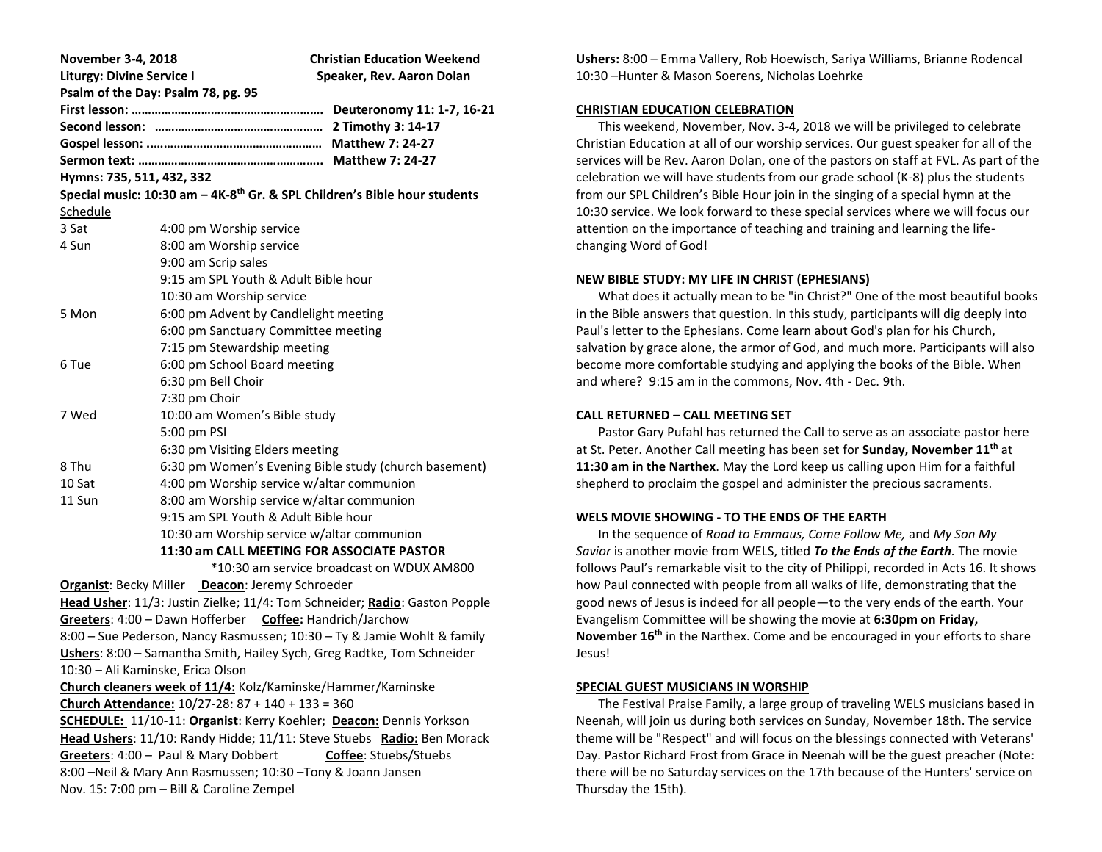| November 3-4, 2018                                                                                                             |                                                       | <b>Christian Education Weekend</b>        |  |  |
|--------------------------------------------------------------------------------------------------------------------------------|-------------------------------------------------------|-------------------------------------------|--|--|
| <b>Liturgy: Divine Service I</b><br>Speaker, Rev. Aaron Dolan                                                                  |                                                       |                                           |  |  |
|                                                                                                                                | Psalm of the Day: Psalm 78, pg. 95                    |                                           |  |  |
|                                                                                                                                |                                                       |                                           |  |  |
|                                                                                                                                |                                                       |                                           |  |  |
|                                                                                                                                |                                                       |                                           |  |  |
|                                                                                                                                |                                                       |                                           |  |  |
| Hymns: 735, 511, 432, 332<br>Special music: 10:30 am - 4K-8 <sup>th</sup> Gr. & SPL Children's Bible hour students             |                                                       |                                           |  |  |
|                                                                                                                                |                                                       |                                           |  |  |
| Schedule                                                                                                                       |                                                       |                                           |  |  |
| 3 Sat                                                                                                                          | 4:00 pm Worship service                               |                                           |  |  |
| 4 Sun                                                                                                                          | 8:00 am Worship service                               |                                           |  |  |
|                                                                                                                                | 9:00 am Scrip sales                                   |                                           |  |  |
|                                                                                                                                | 9:15 am SPL Youth & Adult Bible hour                  |                                           |  |  |
|                                                                                                                                | 10:30 am Worship service                              |                                           |  |  |
| 5 Mon                                                                                                                          | 6:00 pm Advent by Candlelight meeting                 |                                           |  |  |
|                                                                                                                                | 6:00 pm Sanctuary Committee meeting                   |                                           |  |  |
|                                                                                                                                | 7:15 pm Stewardship meeting                           |                                           |  |  |
| 6 Tue                                                                                                                          | 6:00 pm School Board meeting                          |                                           |  |  |
|                                                                                                                                | 6:30 pm Bell Choir                                    |                                           |  |  |
|                                                                                                                                | 7:30 pm Choir                                         |                                           |  |  |
| 7 Wed                                                                                                                          | 10:00 am Women's Bible study                          |                                           |  |  |
|                                                                                                                                | 5:00 pm PSI                                           |                                           |  |  |
|                                                                                                                                | 6:30 pm Visiting Elders meeting                       |                                           |  |  |
| 8 Thu                                                                                                                          | 6:30 pm Women's Evening Bible study (church basement) |                                           |  |  |
| 10 Sat                                                                                                                         | 4:00 pm Worship service w/altar communion             |                                           |  |  |
| 11 Sun                                                                                                                         | 8:00 am Worship service w/altar communion             |                                           |  |  |
|                                                                                                                                | 9:15 am SPL Youth & Adult Bible hour                  |                                           |  |  |
|                                                                                                                                | 10:30 am Worship service w/altar communion            |                                           |  |  |
| 11:30 am CALL MEETING FOR ASSOCIATE PASTOR                                                                                     |                                                       |                                           |  |  |
|                                                                                                                                |                                                       | *10:30 am service broadcast on WDUX AM800 |  |  |
| Organist: Becky Miller Deacon: Jeremy Schroeder                                                                                |                                                       |                                           |  |  |
| Head Usher: 11/3: Justin Zielke; 11/4: Tom Schneider; Radio: Gaston Popple                                                     |                                                       |                                           |  |  |
| Greeters: 4:00 - Dawn Hofferber Coffee: Handrich/Jarchow                                                                       |                                                       |                                           |  |  |
| 8:00 - Sue Pederson, Nancy Rasmussen; 10:30 - Ty & Jamie Wohlt & family                                                        |                                                       |                                           |  |  |
| Ushers: 8:00 - Samantha Smith, Hailey Sych, Greg Radtke, Tom Schneider                                                         |                                                       |                                           |  |  |
| 10:30 - Ali Kaminske, Erica Olson                                                                                              |                                                       |                                           |  |  |
| Church cleaners week of 11/4: Kolz/Kaminske/Hammer/Kaminske                                                                    |                                                       |                                           |  |  |
| Church Attendance: $10/27-28:87 + 140 + 133 = 360$                                                                             |                                                       |                                           |  |  |
| SCHEDULE: 11/10-11: Organist: Kerry Koehler; Deacon: Dennis Yorkson                                                            |                                                       |                                           |  |  |
| Head Ushers: 11/10: Randy Hidde; 11/11: Steve Stuebs Radio: Ben Morack                                                         |                                                       |                                           |  |  |
| Greeters: 4:00 - Paul & Mary Dobbert<br>Coffee: Stuebs/Stuebs<br>8:00 - Neil & Mary Ann Rasmussen; 10:30 - Tony & Joann Jansen |                                                       |                                           |  |  |
|                                                                                                                                |                                                       |                                           |  |  |
| Nov. 15: 7:00 pm - Bill & Caroline Zempel                                                                                      |                                                       |                                           |  |  |
|                                                                                                                                |                                                       |                                           |  |  |

**Ushers:** 8:00 – Emma Vallery, Rob Hoewisch, Sariya Williams, Brianne Rodencal 10:30 –Hunter & Mason Soerens, Nicholas Loehrke

### **CHRISTIAN EDUCATION CELEBRATION**

 This weekend, November, Nov. 3-4, 2018 we will be privileged to celebrate Christian Education at all of our worship services. Our guest speaker for all of the services will be Rev. Aaron Dolan, one of the pastors on staff at FVL. As part of the celebration we will have students from our grade school (K-8) plus the students from our SPL Children's Bible Hour join in the singing of a special hymn at the 10:30 service. We look forward to these special services where we will focus our attention on the importance of teaching and training and learning the lifechanging Word of God!

# **NEW BIBLE STUDY: MY LIFE IN CHRIST (EPHESIANS)**

 What does it actually mean to be "in Christ?" One of the most beautiful books in the Bible answers that question. In this study, participants will dig deeply into Paul's letter to the Ephesians. Come learn about God's plan for his Church, salvation by grace alone, the armor of God, and much more. Participants will also become more comfortable studying and applying the books of the Bible. When and where? 9:15 am in the commons, Nov. 4th - Dec. 9th.

# **CALL RETURNED – CALL MEETING SET**

 Pastor Gary Pufahl has returned the Call to serve as an associate pastor here at St. Peter. Another Call meeting has been set for **Sunday, November 11th** at **11:30 am in the Narthex**. May the Lord keep us calling upon Him for a faithful shepherd to proclaim the gospel and administer the precious sacraments.

# **WELS MOVIE SHOWING - TO THE ENDS OF THE EARTH**

 In the sequence of *Road to Emmaus, Come Follow Me,* and *My Son My Savior* is another movie from WELS, titled *To the Ends of the Earth.* The movie follows Paul's remarkable visit to the city of Philippi, recorded in Acts 16. It shows how Paul connected with people from all walks of life, demonstrating that the good news of Jesus is indeed for all people—to the very ends of the earth. Your Evangelism Committee will be showing the movie at **6:30pm on Friday, November 16th** in the Narthex. Come and be encouraged in your efforts to share Jesus!

# **SPECIAL GUEST MUSICIANS IN WORSHIP**

 The Festival Praise Family, a large group of traveling WELS musicians based in Neenah, will join us during both services on Sunday, November 18th. The service theme will be "Respect" and will focus on the blessings connected with Veterans' Day. Pastor Richard Frost from Grace in Neenah will be the guest preacher (Note: there will be no Saturday services on the 17th because of the Hunters' service on Thursday the 15th).